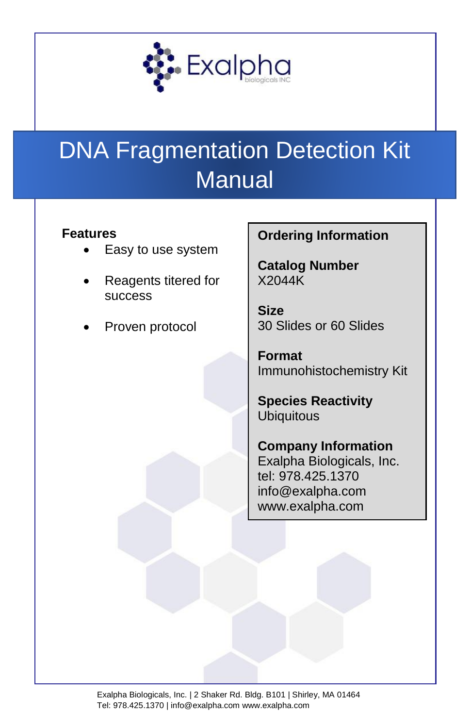

# DNA Fragmentation Detection Kit **Manual**

#### **Features**

- Easy to use system
- Reagents titered for success
- Proven protocol

#### **Ordering Information**

**Catalog Number** X2044K

**Size** 30 Slides or 60 Slides

**Format** Immunohistochemistry Kit

**Species Reactivity Ubiquitous** 

**Company Information** Exalpha Biologicals, Inc. tel: 978.425.1370 info@exalpha.com www.exalpha.com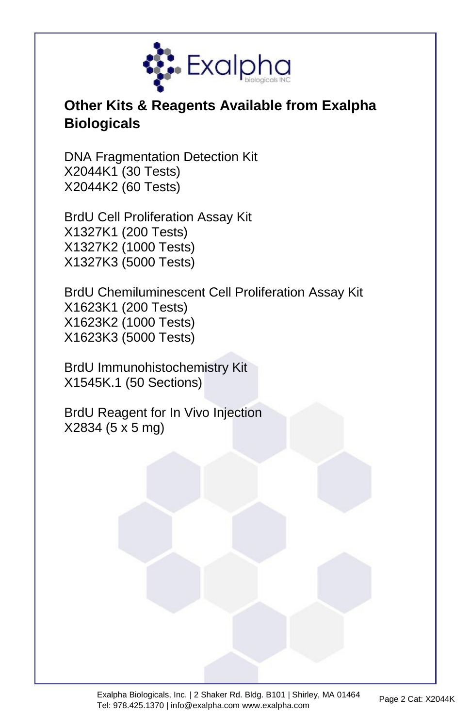

# **Other Kits & Reagents Available from Exalpha Biologicals**

DNA Fragmentation Detection Kit X2044K1 (30 Tests) X2044K2 (60 Tests)

BrdU Cell Proliferation Assay Kit X1327K1 (200 Tests) X1327K2 (1000 Tests) X1327K3 (5000 Tests)

BrdU Chemiluminescent Cell Proliferation Assay Kit X1623K1 (200 Tests) X1623K2 (1000 Tests) X1623K3 (5000 Tests)

BrdU Immunohistochemistry Kit X1545K.1 (50 Sections)

BrdU Reagent for In Vivo Injection X2834 (5 x 5 mg)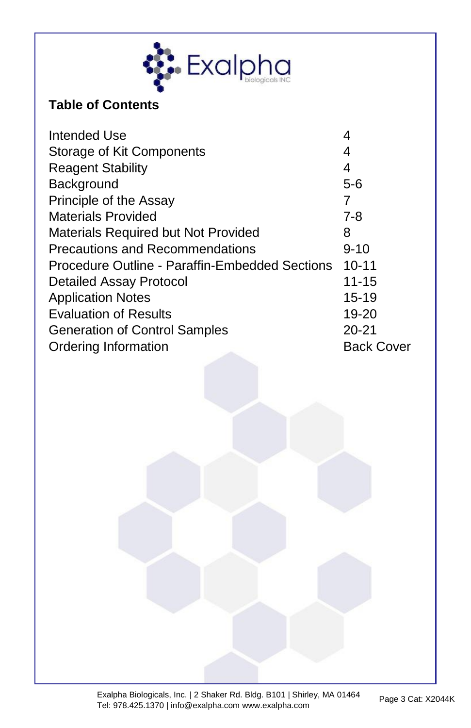

### **Table of Contents**

| Intended Use                                   | 4                 |
|------------------------------------------------|-------------------|
| Storage of Kit Components                      | 4                 |
| <b>Reagent Stability</b>                       | 4                 |
| Background                                     | $5-6$             |
| Principle of the Assay                         | 7                 |
| <b>Materials Provided</b>                      | $7 - 8$           |
| <b>Materials Required but Not Provided</b>     | 8                 |
| <b>Precautions and Recommendations</b>         | $9 - 10$          |
| Procedure Outline - Paraffin-Embedded Sections | $10 - 11$         |
| <b>Detailed Assay Protocol</b>                 | $11 - 15$         |
| <b>Application Notes</b>                       | $15 - 19$         |
| <b>Evaluation of Results</b>                   | 19-20             |
| <b>Generation of Control Samples</b>           | $20 - 21$         |
| Ordering Information                           | <b>Back Cover</b> |
|                                                |                   |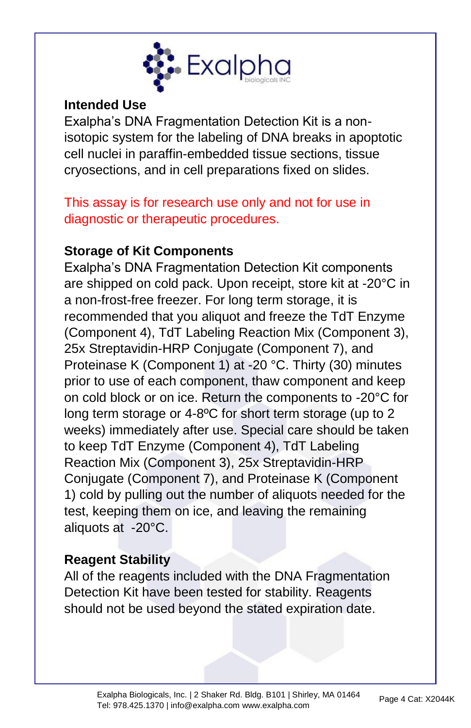

#### **Intended Use**

Exalpha's DNA Fragmentation Detection Kit is a nonisotopic system for the labeling of DNA breaks in apoptotic cell nuclei in paraffin-embedded tissue sections, tissue cryosections, and in cell preparations fixed on slides.

This assay is for research use only and not for use in diagnostic or therapeutic procedures.

#### **Storage of Kit Components**

Exalpha's DNA Fragmentation Detection Kit components are shipped on cold pack. Upon receipt, store kit at -20°C in a non-frost-free freezer. For long term storage, it is recommended that you aliquot and freeze the TdT Enzyme (Component 4), TdT Labeling Reaction Mix (Component 3), 25x Streptavidin-HRP Conjugate (Component 7), and Proteinase K (Component 1) at -20 °C. Thirty (30) minutes prior to use of each component, thaw component and keep on cold block or on ice. Return the components to -20°C for long term storage or 4-8ºC for short term storage (up to 2 weeks) immediately after use. Special care should be taken to keep TdT Enzyme (Component 4), TdT Labeling Reaction Mix (Component 3), 25x Streptavidin-HRP Conjugate (Component 7), and Proteinase K (Component 1) cold by pulling out the number of aliquots needed for the test, keeping them on ice, and leaving the remaining aliquots at -20°C.

### **Reagent Stability**

All of the reagents included with the DNA Fragmentation Detection Kit have been tested for stability. Reagents should not be used beyond the stated expiration date.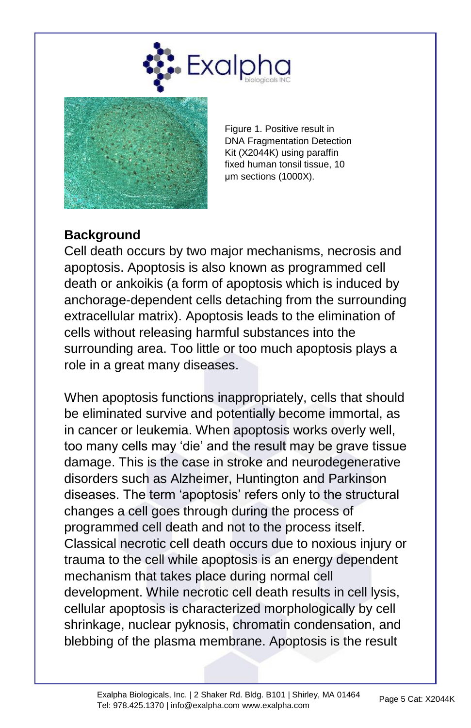



Figure 1. Positive result in DNA Fragmentation Detection Kit (X2044K) using paraffin fixed human tonsil tissue, 10 μm sections (1000X).

#### **Background**

Cell death occurs by two major mechanisms, necrosis and apoptosis. Apoptosis is also known as programmed cell death or ankoikis (a form of apoptosis which is induced by anchorage-dependent cells detaching from the surrounding extracellular matrix). Apoptosis leads to the elimination of cells without releasing harmful substances into the surrounding area. Too little or too much apoptosis plays a role in a great many diseases.

When apoptosis functions inappropriately, cells that should be eliminated survive and potentially become immortal, as in cancer or leukemia. When apoptosis works overly well, too many cells may 'die' and the result may be grave tissue damage. This is the case in stroke and neurodegenerative disorders such as Alzheimer, Huntington and Parkinson diseases. The term 'apoptosis' refers only to the structural changes a cell goes through during the process of programmed cell death and not to the process itself. Classical necrotic cell death occurs due to noxious injury or trauma to the cell while apoptosis is an energy dependent mechanism that takes place during normal cell development. While necrotic cell death results in cell lysis, cellular apoptosis is characterized morphologically by cell shrinkage, nuclear pyknosis, chromatin condensation, and blebbing of the plasma membrane. Apoptosis is the result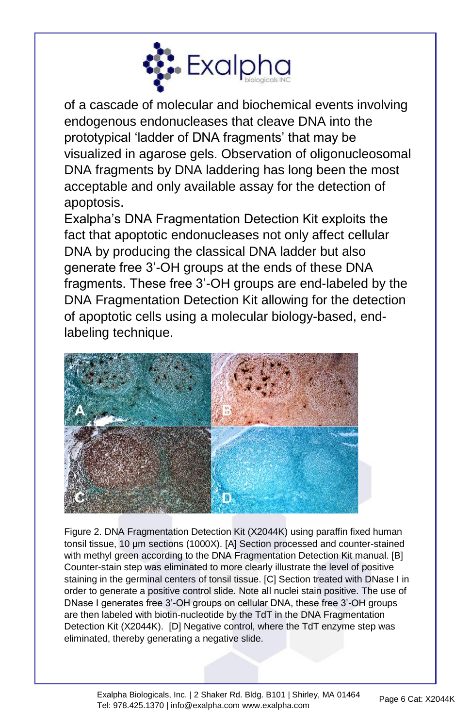

of a cascade of molecular and biochemical events involving endogenous endonucleases that cleave DNA into the prototypical 'ladder of DNA fragments' that may be visualized in agarose gels. Observation of oligonucleosomal DNA fragments by DNA laddering has long been the most acceptable and only available assay for the detection of apoptosis.

Exalpha's DNA Fragmentation Detection Kit exploits the fact that apoptotic endonucleases not only affect cellular DNA by producing the classical DNA ladder but also generate free 3'-OH groups at the ends of these DNA fragments. These free 3'-OH groups are end-labeled by the DNA Fragmentation Detection Kit allowing for the detection of apoptotic cells using a molecular biology-based, endlabeling technique.



Figure 2. DNA Fragmentation Detection Kit (X2044K) using paraffin fixed human tonsil tissue, 10 μm sections (1000X). [A] Section processed and counter-stained with methyl green according to the DNA Fragmentation Detection Kit manual. [B] Counter-stain step was eliminated to more clearly illustrate the level of positive staining in the germinal centers of tonsil tissue. [C] Section treated with DNase I in order to generate a positive control slide. Note all nuclei stain positive. The use of DNase I generates free 3'-OH groups on cellular DNA, these free 3'-OH groups are then labeled with biotin-nucleotide by the TdT in the DNA Fragmentation Detection Kit (X2044K). [D] Negative control, where the TdT enzyme step was eliminated, thereby generating a negative slide.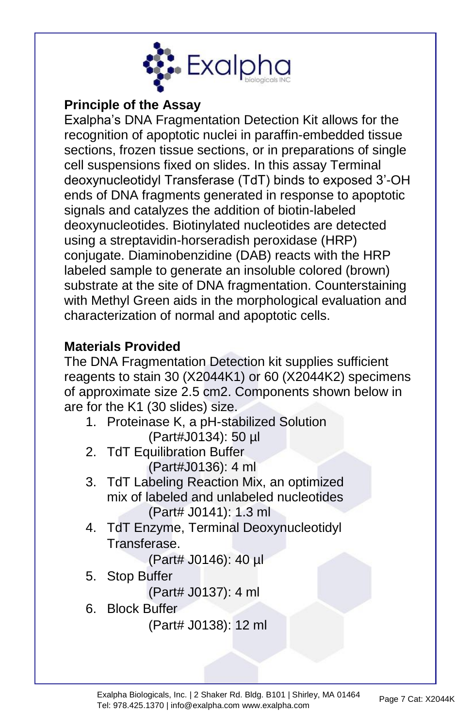

#### **Principle of the Assay**

Exalpha's DNA Fragmentation Detection Kit allows for the recognition of apoptotic nuclei in paraffin-embedded tissue sections, frozen tissue sections, or in preparations of single cell suspensions fixed on slides. In this assay Terminal deoxynucleotidyl Transferase (TdT) binds to exposed 3'-OH ends of DNA fragments generated in response to apoptotic signals and catalyzes the addition of biotin-labeled deoxynucleotides. Biotinylated nucleotides are detected using a streptavidin-horseradish peroxidase (HRP) conjugate. Diaminobenzidine (DAB) reacts with the HRP labeled sample to generate an insoluble colored (brown) substrate at the site of DNA fragmentation. Counterstaining with Methyl Green aids in the morphological evaluation and characterization of normal and apoptotic cells.

### **Materials Provided**

The DNA Fragmentation Detection kit supplies sufficient reagents to stain 30 (X2044K1) or 60 (X2044K2) specimens of approximate size 2.5 cm2. Components shown below in are for the K1 (30 slides) size.

- 1. Proteinase K, a pH-stabilized Solution (Part#J0134): 50 µl
- 2. TdT Equilibration Buffer (Part#J0136): 4 ml
- 3. TdT Labeling Reaction Mix, an optimized mix of labeled and unlabeled nucleotides (Part# J0141): 1.3 ml
- 4. TdT Enzyme, Terminal Deoxynucleotidyl Transferase.

(Part# J0146): 40 µl

5. Stop Buffer

(Part# J0137): 4 ml

6. Block Buffer

(Part# J0138): 12 ml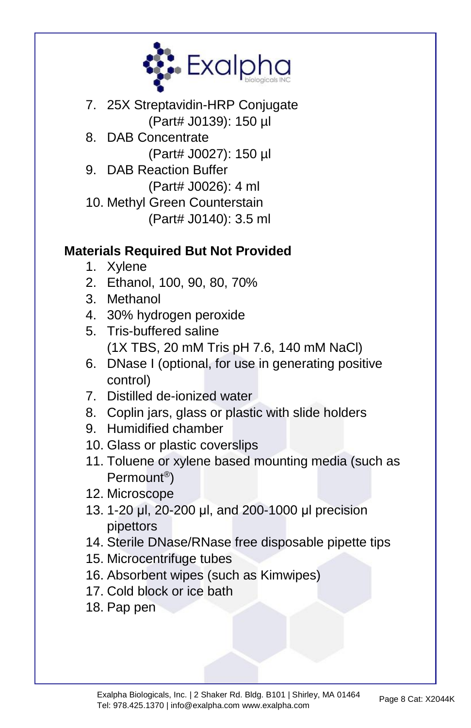

- 7. 25X Streptavidin-HRP Conjugate (Part# J0139): 150 µl
- 8. DAB Concentrate (Part# J0027): 150 µl
- 9. DAB Reaction Buffer (Part# J0026): 4 ml
- 10. Methyl Green Counterstain (Part# J0140): 3.5 ml

## **Materials Required But Not Provided**

- 1. Xylene
- 2. Ethanol, 100, 90, 80, 70%
- 3. Methanol
- 4. 30% hydrogen peroxide
- 5. Tris-buffered saline (1X TBS, 20 mM Tris pH 7.6, 140 mM NaCl)
- 6. DNase I (optional, for use in generating positive control)
- 7. Distilled de-ionized water
- 8. Coplin jars, glass or plastic with slide holders
- 9. Humidified chamber
- 10. Glass or plastic coverslips
- 11. Toluene or xylene based mounting media (such as Permount® )
- 12. Microscope
- 13. 1-20 μl, 20-200 μl, and 200-1000 μl precision pipettors
- 14. Sterile DNase/RNase free disposable pipette tips
- 15. Microcentrifuge tubes
- 16. Absorbent wipes (such as Kimwipes)
- 17. Cold block or ice bath
- 18. Pap pen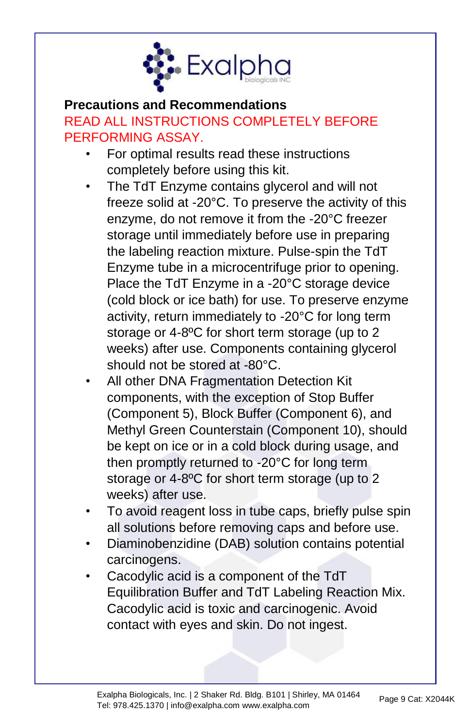

#### **Precautions and Recommendations**

# READ ALL INSTRUCTIONS COMPLETELY BEFORE PERFORMING ASSAY.

- For optimal results read these instructions completely before using this kit.
- The TdT Enzyme contains glycerol and will not freeze solid at -20°C. To preserve the activity of this enzyme, do not remove it from the -20°C freezer storage until immediately before use in preparing the labeling reaction mixture. Pulse-spin the TdT Enzyme tube in a microcentrifuge prior to opening. Place the TdT Enzyme in a -20°C storage device (cold block or ice bath) for use. To preserve enzyme activity, return immediately to -20°C for long term storage or 4-8ºC for short term storage (up to 2 weeks) after use. Components containing glycerol should not be stored at -80°C.
- All other DNA Fragmentation Detection Kit components, with the exception of Stop Buffer (Component 5), Block Buffer (Component 6), and Methyl Green Counterstain (Component 10), should be kept on ice or in a cold block during usage, and then promptly returned to -20°C for long term storage or 4-8ºC for short term storage (up to 2 weeks) after use.
- To avoid reagent loss in tube caps, briefly pulse spin all solutions before removing caps and before use.
- Diaminobenzidine (DAB) solution contains potential carcinogens.
- Cacodylic acid is a component of the TdT Equilibration Buffer and TdT Labeling Reaction Mix. Cacodylic acid is toxic and carcinogenic. Avoid contact with eyes and skin. Do not ingest.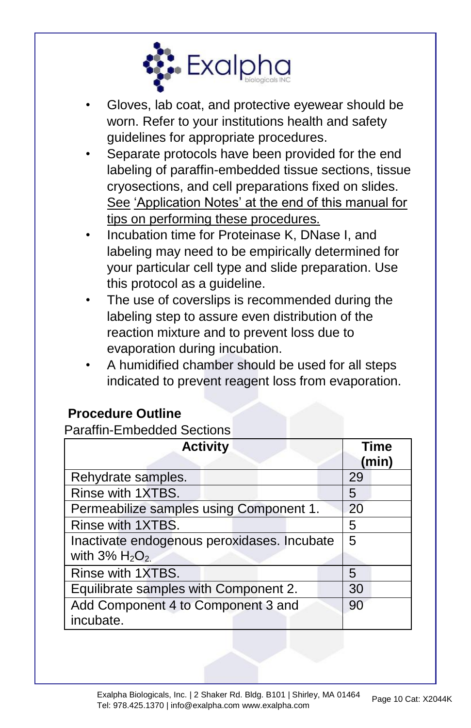

- Gloves, lab coat, and protective eyewear should be worn. Refer to your institutions health and safety guidelines for appropriate procedures.
- Separate protocols have been provided for the end labeling of paraffin-embedded tissue sections, tissue cryosections, and cell preparations fixed on slides. See 'Application Notes' at the end of this manual for tips on performing these procedures.
- Incubation time for Proteinase K, DNase I, and labeling may need to be empirically determined for your particular cell type and slide preparation. Use this protocol as a guideline.
- The use of coverslips is recommended during the labeling step to assure even distribution of the reaction mixture and to prevent loss due to evaporation during incubation.
- A humidified chamber should be used for all steps indicated to prevent reagent loss from evaporation.

#### **Procedure Outline**

Paraffin-Embedded Sections

| <b>Activity</b>                             | <b>Time</b><br>(min) |
|---------------------------------------------|----------------------|
| Rehydrate samples.                          | 29                   |
| Rinse with 1XTBS.                           | 5                    |
| Permeabilize samples using Component 1.     | 20                   |
| Rinse with 1XTBS.                           | 5                    |
| Inactivate endogenous peroxidases. Incubate | 5                    |
| with $3\%$ H <sub>2</sub> O <sub>2.</sub>   |                      |
| Rinse with 1XTBS.                           | 5                    |
| Equilibrate samples with Component 2.       | 30                   |
| Add Component 4 to Component 3 and          | 90                   |
| incubate.                                   |                      |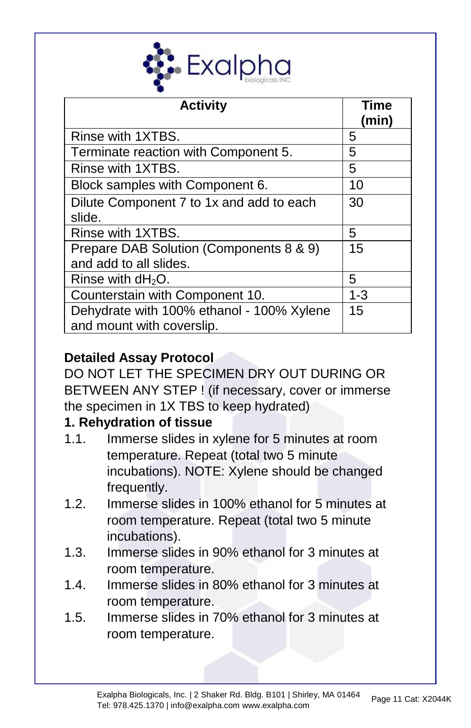

| <b>Activity</b>                                                        | Time<br>(min) |
|------------------------------------------------------------------------|---------------|
| Rinse with 1XTBS.                                                      | 5             |
| Terminate reaction with Component 5.                                   | 5             |
| Rinse with 1XTBS.                                                      | 5             |
| Block samples with Component 6.                                        | 10            |
| Dilute Component 7 to 1x and add to each<br>slide.                     | 30            |
| Rinse with 1XTBS.                                                      | 5             |
| Prepare DAB Solution (Components 8 & 9)<br>and add to all slides.      | 15            |
| Rinse with $dH_2O$ .                                                   | 5             |
| Counterstain with Component 10.                                        | $1 - 3$       |
| Dehydrate with 100% ethanol - 100% Xylene<br>and mount with coverslip. | 15            |

## **Detailed Assay Protocol**

DO NOT LET THE SPECIMEN DRY OUT DURING OR BETWEEN ANY STEP ! (if necessary, cover or immerse the specimen in 1X TBS to keep hydrated)

#### **1. Rehydration of tissue**

- 1.1. Immerse slides in xylene for 5 minutes at room temperature. Repeat (total two 5 minute incubations). NOTE: Xylene should be changed frequently.
- 1.2. Immerse slides in 100% ethanol for 5 minutes at room temperature. Repeat (total two 5 minute incubations).
- 1.3. Immerse slides in 90% ethanol for 3 minutes at room temperature.
- 1.4. Immerse slides in 80% ethanol for 3 minutes at room temperature.
- 1.5. Immerse slides in 70% ethanol for 3 minutes at room temperature.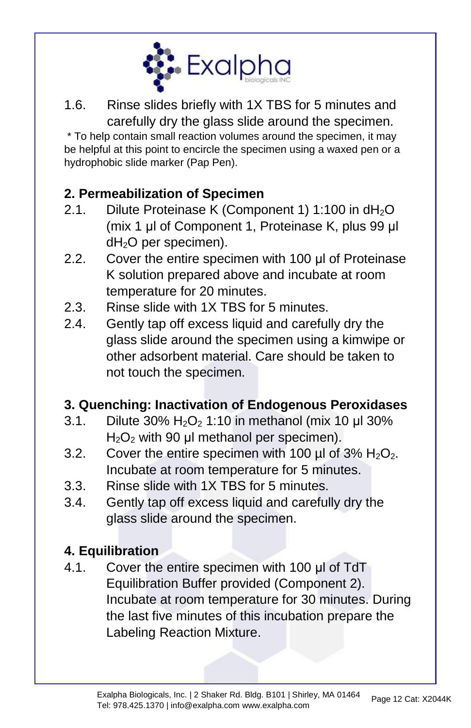

1.6. Rinse slides briefly with 1X TBS for 5 minutes and carefully dry the glass slide around the specimen.

\* To help contain small reaction volumes around the specimen, it may be helpful at this point to encircle the specimen using a waxed pen or a hydrophobic slide marker (Pap Pen).

## **2. Permeabilization of Specimen**

- 2.1. Dilute Proteinase K (Component 1) 1:100 in  $dH_2O$ (mix 1 μl of Component 1, Proteinase K, plus 99 μl dH2O per specimen).
- 2.2. Cover the entire specimen with 100 μl of Proteinase K solution prepared above and incubate at room temperature for 20 minutes.
- 2.3. Rinse slide with 1X TBS for 5 minutes.
- 2.4. Gently tap off excess liquid and carefully dry the glass slide around the specimen using a kimwipe or other adsorbent material. Care should be taken to not touch the specimen.

### **3. Quenching: Inactivation of Endogenous Peroxidases**

- 3.1. Dilute 30%  $H_2O_2$  1:10 in methanol (mix 10 µl 30%  $H<sub>2</sub>O<sub>2</sub>$  with 90 µl methanol per specimen).
- 3.2. Cover the entire specimen with 100  $\mu$ l of 3% H<sub>2</sub>O<sub>2</sub>. Incubate at room temperature for 5 minutes.
- 3.3. Rinse slide with 1X TBS for 5 minutes.
- 3.4. Gently tap off excess liquid and carefully dry the glass slide around the specimen.

## **4. Equilibration**

4.1. Cover the entire specimen with 100 ul of TdT Equilibration Buffer provided (Component 2). Incubate at room temperature for 30 minutes. During the last five minutes of this incubation prepare the Labeling Reaction Mixture.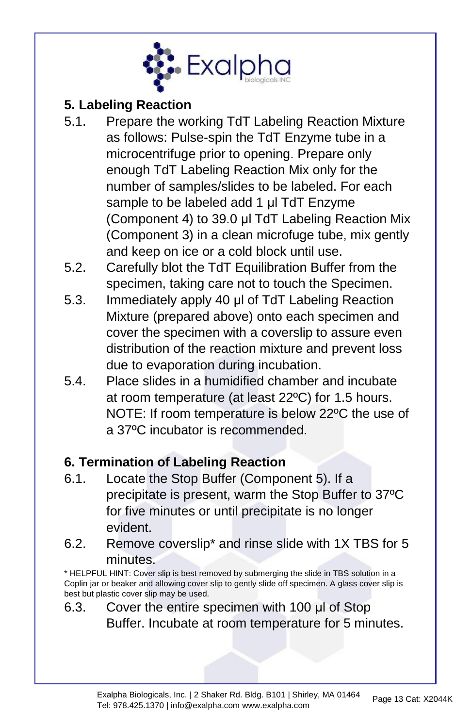

#### **5. Labeling Reaction**

- 5.1. Prepare the working TdT Labeling Reaction Mixture as follows: Pulse-spin the TdT Enzyme tube in a microcentrifuge prior to opening. Prepare only enough TdT Labeling Reaction Mix only for the number of samples/slides to be labeled. For each sample to be labeled add 1 μl TdT Enzyme (Component 4) to 39.0 μl TdT Labeling Reaction Mix (Component 3) in a clean microfuge tube, mix gently and keep on ice or a cold block until use.
- 5.2. Carefully blot the TdT Equilibration Buffer from the specimen, taking care not to touch the Specimen.
- 5.3. Immediately apply 40 μl of TdT Labeling Reaction Mixture (prepared above) onto each specimen and cover the specimen with a coverslip to assure even distribution of the reaction mixture and prevent loss due to evaporation during incubation.
- 5.4. Place slides in a humidified chamber and incubate at room temperature (at least 22ºC) for 1.5 hours. NOTE: If room temperature is below 22ºC the use of a 37ºC incubator is recommended.

### **6. Termination of Labeling Reaction**

- 6.1. Locate the Stop Buffer (Component 5). If a precipitate is present, warm the Stop Buffer to 37ºC for five minutes or until precipitate is no longer evident.
- 6.2. Remove coverslip\* and rinse slide with 1X TBS for 5 minutes.

\* HELPFUL HINT: Cover slip is best removed by submerging the slide in TBS solution in a Coplin jar or beaker and allowing cover slip to gently slide off specimen. A glass cover slip is best but plastic cover slip may be used.

6.3. Cover the entire specimen with 100 μl of Stop Buffer. Incubate at room temperature for 5 minutes.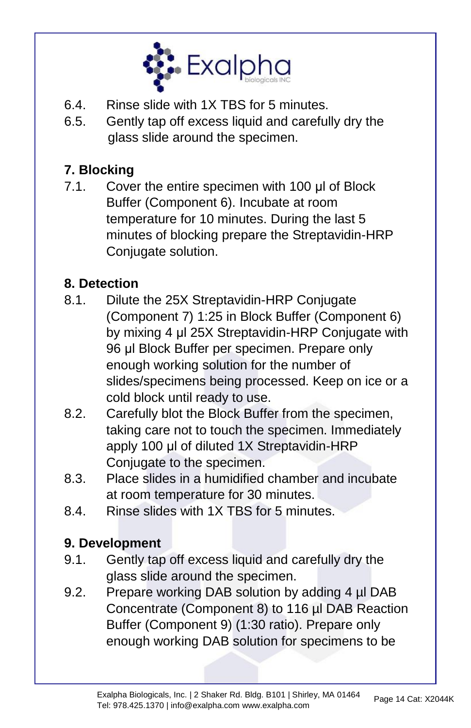

- 6.4. Rinse slide with 1X TBS for 5 minutes.
- 6.5. Gently tap off excess liquid and carefully dry the glass slide around the specimen.

## **7. Blocking**

7.1. Cover the entire specimen with 100 μl of Block Buffer (Component 6). Incubate at room temperature for 10 minutes. During the last 5 minutes of blocking prepare the Streptavidin-HRP Conjugate solution.

## **8. Detection**

- 8.1. Dilute the 25X Streptavidin-HRP Conjugate (Component 7) 1:25 in Block Buffer (Component 6) by mixing 4 μl 25X Streptavidin-HRP Conjugate with 96 μl Block Buffer per specimen. Prepare only enough working solution for the number of slides/specimens being processed. Keep on ice or a cold block until ready to use.
- 8.2. Carefully blot the Block Buffer from the specimen, taking care not to touch the specimen. Immediately apply 100 μl of diluted 1X Streptavidin-HRP Conjugate to the specimen.
- 8.3. Place slides in a humidified chamber and incubate at room temperature for 30 minutes.
- 8.4. Rinse slides with 1X TBS for 5 minutes.

### **9. Development**

- 9.1. Gently tap off excess liquid and carefully dry the glass slide around the specimen.
- 9.2. Prepare working DAB solution by adding 4 µl DAB Concentrate (Component 8) to 116 µl DAB Reaction Buffer (Component 9) (1:30 ratio). Prepare only enough working DAB solution for specimens to be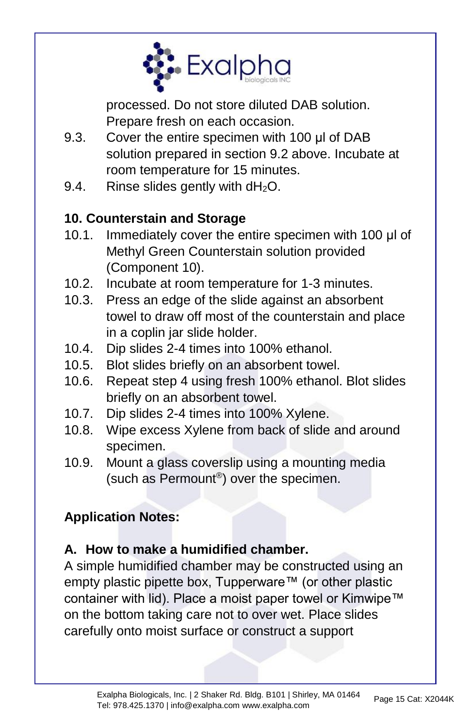

processed. Do not store diluted DAB solution. Prepare fresh on each occasion.

- 9.3. Cover the entire specimen with 100 μl of DAB solution prepared in section 9.2 above. Incubate at room temperature for 15 minutes.
- 9.4. Rinse slides gently with  $dH_2O$ .

## **10. Counterstain and Storage**

- 10.1. Immediately cover the entire specimen with 100 μl of Methyl Green Counterstain solution provided (Component 10).
- 10.2. Incubate at room temperature for 1-3 minutes.
- 10.3. Press an edge of the slide against an absorbent towel to draw off most of the counterstain and place in a coplin jar slide holder.
- 10.4. Dip slides 2-4 times into 100% ethanol.
- 10.5. Blot slides briefly on an absorbent towel.
- 10.6. Repeat step 4 using fresh 100% ethanol. Blot slides briefly on an absorbent towel.
- 10.7. Dip slides 2-4 times into 100% Xylene.
- 10.8. Wipe excess Xylene from back of slide and around specimen.
- 10.9. Mount a glass coverslip using a mounting media (such as Permount® ) over the specimen.

## **Application Notes:**

### **A. How to make a humidified chamber.**

A simple humidified chamber may be constructed using an empty plastic pipette box, Tupperware™ (or other plastic container with lid). Place a moist paper towel or Kimwipe™ on the bottom taking care not to over wet. Place slides carefully onto moist surface or construct a support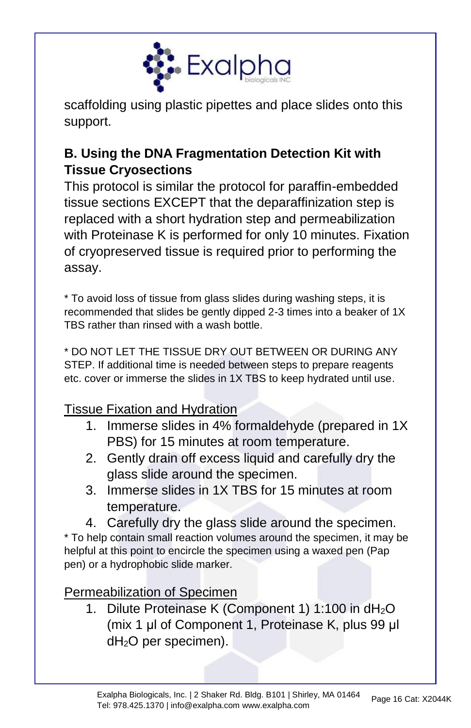

scaffolding using plastic pipettes and place slides onto this support.

## **B. Using the DNA Fragmentation Detection Kit with Tissue Cryosections**

This protocol is similar the protocol for paraffin-embedded tissue sections EXCEPT that the deparaffinization step is replaced with a short hydration step and permeabilization with Proteinase K is performed for only 10 minutes. Fixation of cryopreserved tissue is required prior to performing the assay.

\* To avoid loss of tissue from glass slides during washing steps, it is recommended that slides be gently dipped 2-3 times into a beaker of 1X TBS rather than rinsed with a wash bottle.

\* DO NOT LET THE TISSUE DRY OUT BETWEEN OR DURING ANY STEP. If additional time is needed between steps to prepare reagents etc. cover or immerse the slides in 1X TBS to keep hydrated until use.

Tissue Fixation and Hydration

- 1. Immerse slides in 4% formaldehyde (prepared in 1X PBS) for 15 minutes at room temperature.
- 2. Gently drain off excess liquid and carefully dry the glass slide around the specimen.
- 3. Immerse slides in 1X TBS for 15 minutes at room temperature.
- 4. Carefully dry the glass slide around the specimen.

\* To help contain small reaction volumes around the specimen, it may be helpful at this point to encircle the specimen using a waxed pen (Pap pen) or a hydrophobic slide marker.

Permeabilization of Specimen

1. Dilute Proteinase K (Component 1) 1:100 in dH<sub>2</sub>O (mix 1 μl of Component 1, Proteinase K, plus 99 μl  $dH<sub>2</sub>O$  per specimen).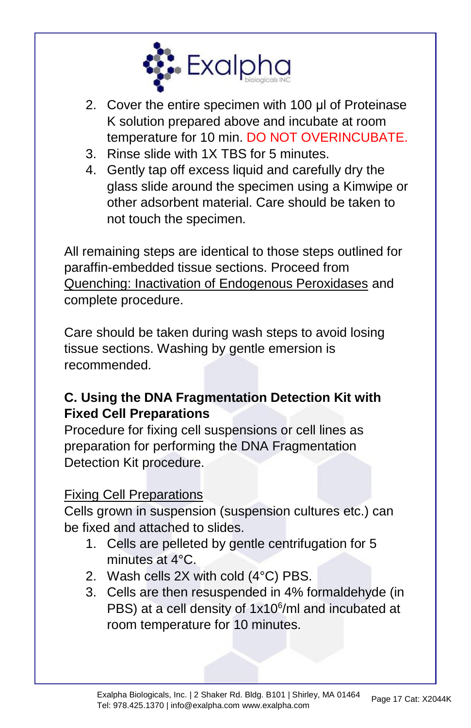

- 2. Cover the entire specimen with 100 μl of Proteinase K solution prepared above and incubate at room temperature for 10 min. DO NOT OVERINCUBATE.
- 3. Rinse slide with 1X TBS for 5 minutes.
- 4. Gently tap off excess liquid and carefully dry the glass slide around the specimen using a Kimwipe or other adsorbent material. Care should be taken to not touch the specimen.

All remaining steps are identical to those steps outlined for paraffin-embedded tissue sections. Proceed from Quenching: Inactivation of Endogenous Peroxidases and complete procedure.

Care should be taken during wash steps to avoid losing tissue sections. Washing by gentle emersion is recommended.

## **C. Using the DNA Fragmentation Detection Kit with Fixed Cell Preparations**

Procedure for fixing cell suspensions or cell lines as preparation for performing the DNA Fragmentation Detection Kit procedure.

### Fixing Cell Preparations

Cells grown in suspension (suspension cultures etc.) can be fixed and attached to slides.

- 1. Cells are pelleted by gentle centrifugation for 5 minutes at 4°C.
- 2. Wash cells 2X with cold (4°C) PBS.
- 3. Cells are then resuspended in 4% formaldehyde (in PBS) at a cell density of 1x10<sup>6</sup>/ml and incubated at room temperature for 10 minutes.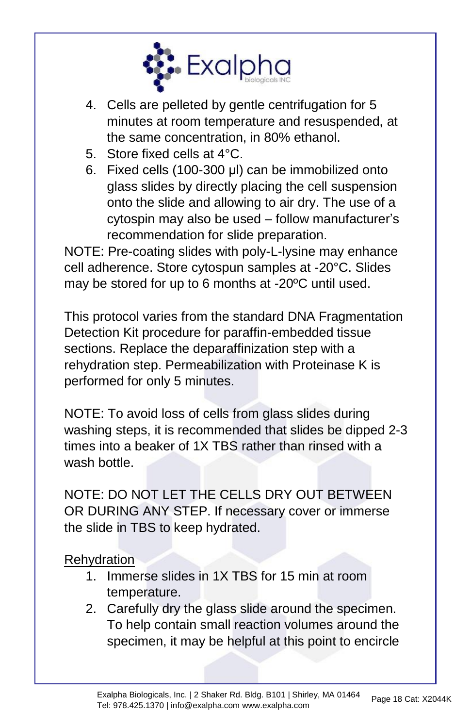

- 4. Cells are pelleted by gentle centrifugation for 5 minutes at room temperature and resuspended, at the same concentration, in 80% ethanol.
- 5. Store fixed cells at 4°C.
- 6. Fixed cells (100-300 μl) can be immobilized onto glass slides by directly placing the cell suspension onto the slide and allowing to air dry. The use of a cytospin may also be used – follow manufacturer's recommendation for slide preparation.

NOTE: Pre-coating slides with poly-L-lysine may enhance cell adherence. Store cytospun samples at -20°C. Slides may be stored for up to 6 months at -20ºC until used.

This protocol varies from the standard DNA Fragmentation Detection Kit procedure for paraffin-embedded tissue sections. Replace the deparaffinization step with a rehydration step. Permeabilization with Proteinase K is performed for only 5 minutes.

NOTE: To avoid loss of cells from glass slides during washing steps, it is recommended that slides be dipped 2-3 times into a beaker of 1X TBS rather than rinsed with a wash bottle.

NOTE: DO NOT LET THE CELLS DRY OUT BETWEEN OR DURING ANY STEP. If necessary cover or immerse the slide in TBS to keep hydrated.

### **Rehydration**

- 1. Immerse slides in 1X TBS for 15 min at room temperature.
- 2. Carefully dry the glass slide around the specimen. To help contain small reaction volumes around the specimen, it may be helpful at this point to encircle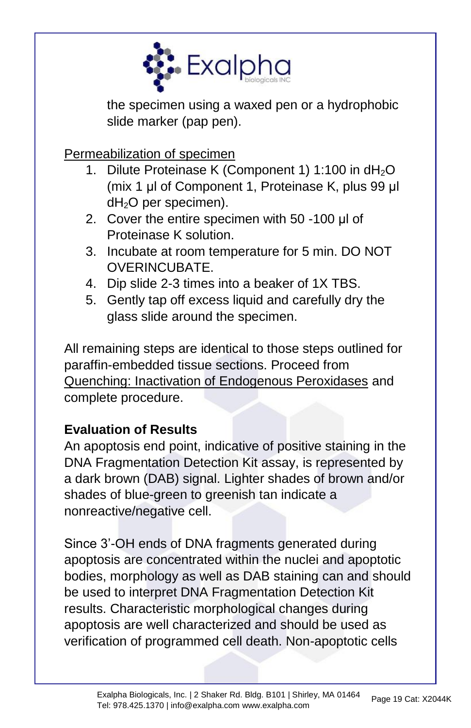

the specimen using a waxed pen or a hydrophobic slide marker (pap pen).

Permeabilization of specimen

- Dilute Proteinase K (Component 1) 1:100 in  $dH_2O$ (mix 1 μl of Component 1, Proteinase K, plus 99 μl  $dH<sub>2</sub>O$  per specimen).
- 2. Cover the entire specimen with 50 -100 μl of Proteinase K solution.
- 3. Incubate at room temperature for 5 min. DO NOT OVERINCUBATE.
- 4. Dip slide 2-3 times into a beaker of 1X TBS.
- 5. Gently tap off excess liquid and carefully dry the glass slide around the specimen.

All remaining steps are identical to those steps outlined for paraffin-embedded tissue sections. Proceed from Quenching: Inactivation of Endogenous Peroxidases and complete procedure.

### **Evaluation of Results**

An apoptosis end point, indicative of positive staining in the DNA Fragmentation Detection Kit assay, is represented by a dark brown (DAB) signal. Lighter shades of brown and/or shades of blue-green to greenish tan indicate a nonreactive/negative cell.

Since 3'-OH ends of DNA fragments generated during apoptosis are concentrated within the nuclei and apoptotic bodies, morphology as well as DAB staining can and should be used to interpret DNA Fragmentation Detection Kit results. Characteristic morphological changes during apoptosis are well characterized and should be used as verification of programmed cell death. Non-apoptotic cells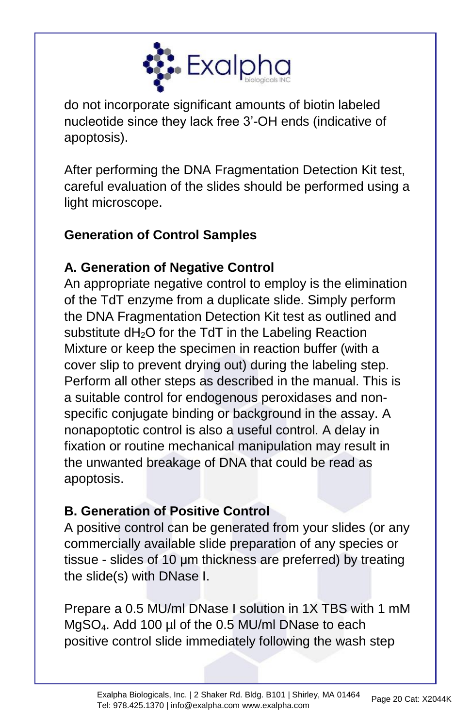

do not incorporate significant amounts of biotin labeled nucleotide since they lack free 3'-OH ends (indicative of apoptosis).

After performing the DNA Fragmentation Detection Kit test, careful evaluation of the slides should be performed using a light microscope.

## **Generation of Control Samples**

## **A. Generation of Negative Control**

An appropriate negative control to employ is the elimination of the TdT enzyme from a duplicate slide. Simply perform the DNA Fragmentation Detection Kit test as outlined and substitute dH<sub>2</sub>O for the TdT in the Labeling Reaction Mixture or keep the specimen in reaction buffer (with a cover slip to prevent drying out) during the labeling step. Perform all other steps as described in the manual. This is a suitable control for endogenous peroxidases and nonspecific conjugate binding or background in the assay. A nonapoptotic control is also a useful control. A delay in fixation or routine mechanical manipulation may result in the unwanted breakage of DNA that could be read as apoptosis.

### **B. Generation of Positive Control**

A positive control can be generated from your slides (or any commercially available slide preparation of any species or tissue - slides of 10 μm thickness are preferred) by treating the slide(s) with DNase I.

Prepare a 0.5 MU/ml DNase I solution in 1X TBS with 1 mM MgSO4. Add 100 µl of the 0.5 MU/ml DNase to each positive control slide immediately following the wash step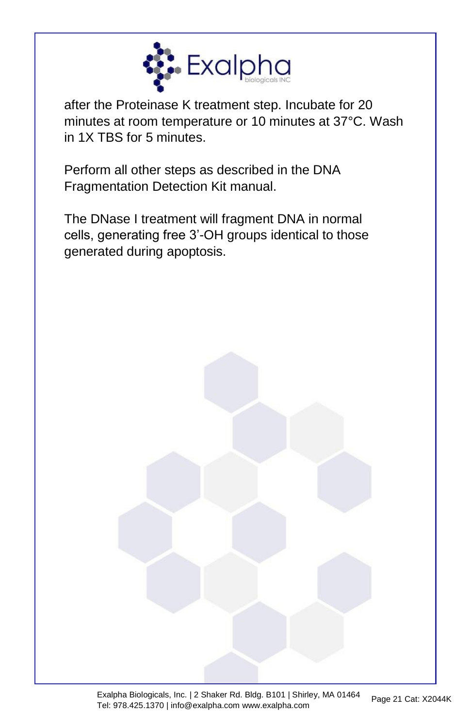

after the Proteinase K treatment step. Incubate for 20 minutes at room temperature or 10 minutes at 37°C. Wash in 1X TBS for 5 minutes.

Perform all other steps as described in the DNA Fragmentation Detection Kit manual.

The DNase I treatment will fragment DNA in normal cells, generating free 3'-OH groups identical to those generated during apoptosis.